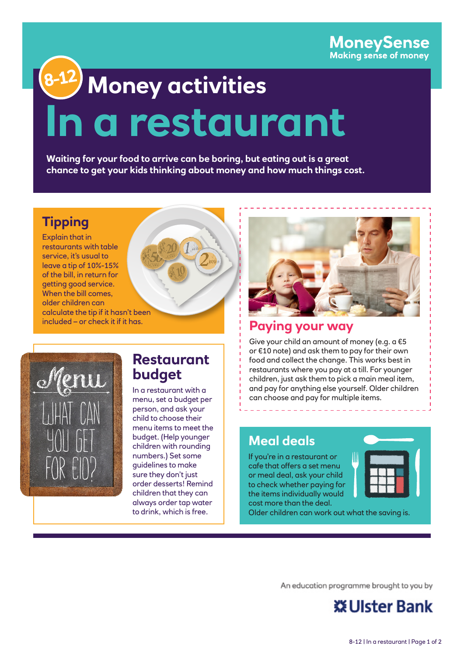# **In a restaurant 8-12** Money activities

**Waiting for your food to arrive can be boring, but eating out is a great chance to get your kids thinking about money and how much things cost.** 

### **Tipping**

Explain that in restaurants with table service, it's usual to leave a tip of 10%-15% of the bill, in return for getting good service. When the bill comes. older children can calculate the tip if it hasn't been included – or check it if it has.





### **Restaurant budget**

In a restaurant with a menu, set a budget per person, and ask your child to choose their menu items to meet the budget. (Help younger children with rounding numbers.) Set some guidelines to make sure they don't just order desserts! Remind children that they can always order tap water to drink, which is free.

#### **Paying your way**

Give your child an amount of money (e.g. a €5 or €10 note) and ask them to pay for their own food and collect the change. This works best in restaurants where you pay at a till. For younger children, just ask them to pick a main meal item, and pay for anything else yourself. Older children can choose and pay for multiple items.

#### **Meal deals**

If you're in a restaurant or cafe that offers a set menu or meal deal, ask your child to check whether paying for the items individually would cost more than the deal.



Older children can work out what the saving is.

An education programme brought to you by